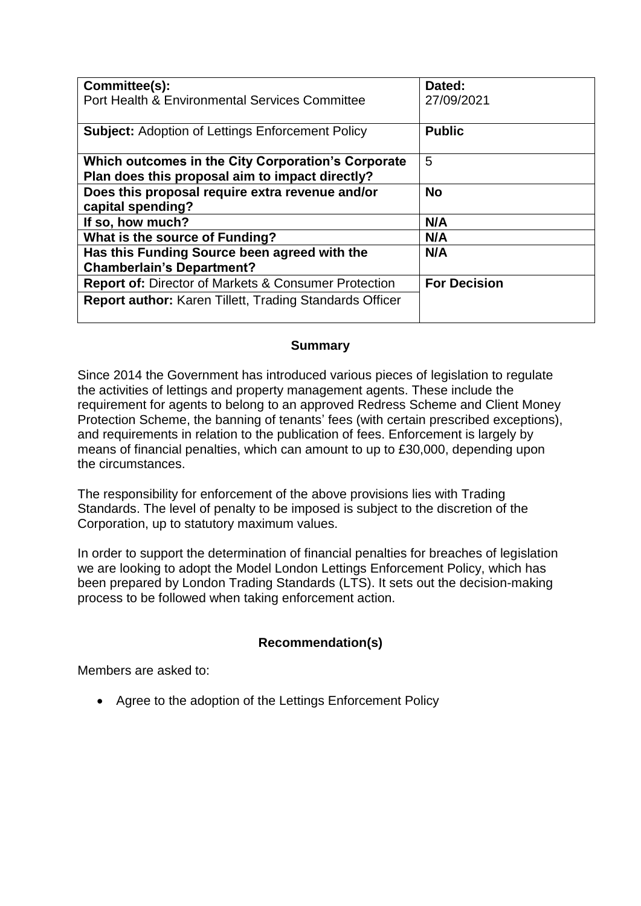| Committee(s):<br>Port Health & Environmental Services Committee                                       | Dated:<br>27/09/2021 |
|-------------------------------------------------------------------------------------------------------|----------------------|
| <b>Subject:</b> Adoption of Lettings Enforcement Policy                                               | <b>Public</b>        |
| Which outcomes in the City Corporation's Corporate<br>Plan does this proposal aim to impact directly? | 5                    |
| Does this proposal require extra revenue and/or<br>capital spending?                                  | <b>No</b>            |
| If so, how much?                                                                                      | N/A                  |
| What is the source of Funding?                                                                        | N/A                  |
| Has this Funding Source been agreed with the<br><b>Chamberlain's Department?</b>                      | N/A                  |
| <b>Report of: Director of Markets &amp; Consumer Protection</b>                                       | <b>For Decision</b>  |
| <b>Report author: Karen Tillett, Trading Standards Officer</b>                                        |                      |

## **Summary**

Since 2014 the Government has introduced various pieces of legislation to regulate the activities of lettings and property management agents. These include the requirement for agents to belong to an approved Redress Scheme and Client Money Protection Scheme, the banning of tenants' fees (with certain prescribed exceptions), and requirements in relation to the publication of fees. Enforcement is largely by means of financial penalties, which can amount to up to £30,000, depending upon the circumstances.

The responsibility for enforcement of the above provisions lies with Trading Standards. The level of penalty to be imposed is subject to the discretion of the Corporation, up to statutory maximum values.

In order to support the determination of financial penalties for breaches of legislation we are looking to adopt the Model London Lettings Enforcement Policy, which has been prepared by London Trading Standards (LTS). It sets out the decision-making process to be followed when taking enforcement action.

## **Recommendation(s)**

Members are asked to:

• Agree to the adoption of the Lettings Enforcement Policy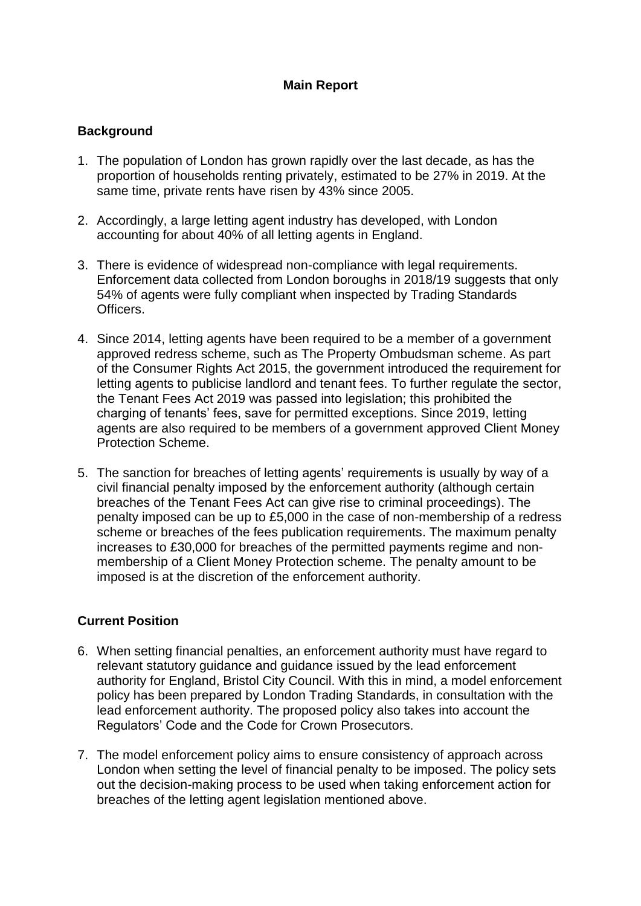# **Main Report**

### **Background**

- 1. The population of London has grown rapidly over the last decade, as has the proportion of households renting privately, estimated to be 27% in 2019. At the same time, private rents have risen by 43% since 2005.
- 2. Accordingly, a large letting agent industry has developed, with London accounting for about 40% of all letting agents in England.
- 3. There is evidence of widespread non-compliance with legal requirements. Enforcement data collected from London boroughs in 2018/19 suggests that only 54% of agents were fully compliant when inspected by Trading Standards Officers.
- 4. Since 2014, letting agents have been required to be a member of a government approved redress scheme, such as The Property Ombudsman scheme. As part of the Consumer Rights Act 2015, the government introduced the requirement for letting agents to publicise landlord and tenant fees. To further regulate the sector, the Tenant Fees Act 2019 was passed into legislation; this prohibited the charging of tenants' fees, save for permitted exceptions. Since 2019, letting agents are also required to be members of a government approved Client Money Protection Scheme.
- 5. The sanction for breaches of letting agents' requirements is usually by way of a civil financial penalty imposed by the enforcement authority (although certain breaches of the Tenant Fees Act can give rise to criminal proceedings). The penalty imposed can be up to £5,000 in the case of non-membership of a redress scheme or breaches of the fees publication requirements. The maximum penalty increases to £30,000 for breaches of the permitted payments regime and nonmembership of a Client Money Protection scheme. The penalty amount to be imposed is at the discretion of the enforcement authority.

## **Current Position**

- 6. When setting financial penalties, an enforcement authority must have regard to relevant statutory guidance and guidance issued by the lead enforcement authority for England, Bristol City Council. With this in mind, a model enforcement policy has been prepared by London Trading Standards, in consultation with the lead enforcement authority. The proposed policy also takes into account the Regulators' Code and the Code for Crown Prosecutors.
- 7. The model enforcement policy aims to ensure consistency of approach across London when setting the level of financial penalty to be imposed. The policy sets out the decision-making process to be used when taking enforcement action for breaches of the letting agent legislation mentioned above.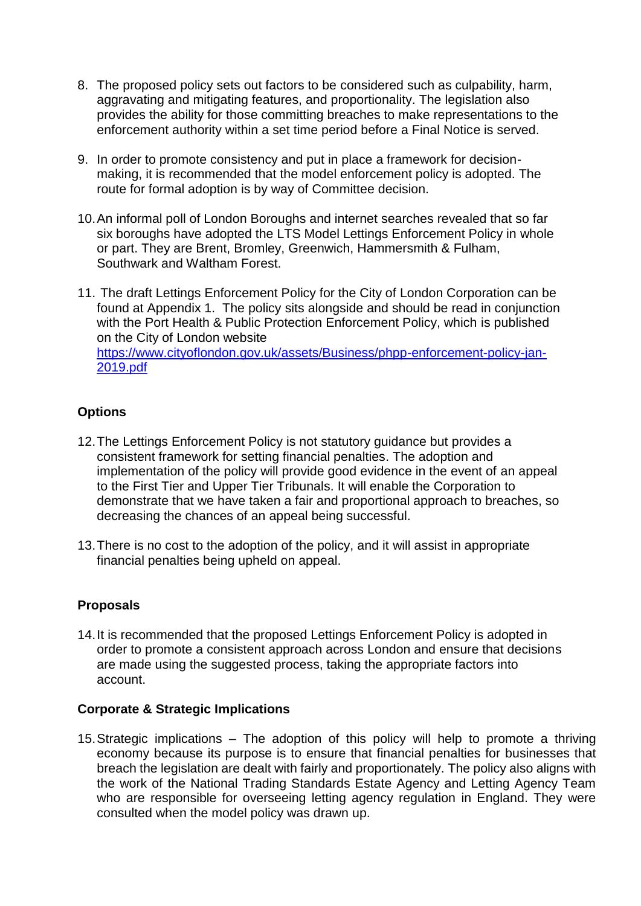- 8. The proposed policy sets out factors to be considered such as culpability, harm, aggravating and mitigating features, and proportionality. The legislation also provides the ability for those committing breaches to make representations to the enforcement authority within a set time period before a Final Notice is served.
- 9. In order to promote consistency and put in place a framework for decisionmaking, it is recommended that the model enforcement policy is adopted. The route for formal adoption is by way of Committee decision.
- 10.An informal poll of London Boroughs and internet searches revealed that so far six boroughs have adopted the LTS Model Lettings Enforcement Policy in whole or part. They are Brent, Bromley, Greenwich, Hammersmith & Fulham, Southwark and Waltham Forest.
- 11. The draft Lettings Enforcement Policy for the City of London Corporation can be found at Appendix 1. The policy sits alongside and should be read in conjunction with the Port Health & Public Protection Enforcement Policy, which is published on the City of London website [https://www.cityoflondon.gov.uk/assets/Business/phpp-enforcement-policy-jan-](https://www.cityoflondon.gov.uk/assets/Business/phpp-enforcement-policy-jan-2019.pdf)[2019.pdf](https://www.cityoflondon.gov.uk/assets/Business/phpp-enforcement-policy-jan-2019.pdf)

## **Options**

- 12.The Lettings Enforcement Policy is not statutory guidance but provides a consistent framework for setting financial penalties. The adoption and implementation of the policy will provide good evidence in the event of an appeal to the First Tier and Upper Tier Tribunals. It will enable the Corporation to demonstrate that we have taken a fair and proportional approach to breaches, so decreasing the chances of an appeal being successful.
- 13.There is no cost to the adoption of the policy, and it will assist in appropriate financial penalties being upheld on appeal.

#### **Proposals**

14.It is recommended that the proposed Lettings Enforcement Policy is adopted in order to promote a consistent approach across London and ensure that decisions are made using the suggested process, taking the appropriate factors into account.

#### **Corporate & Strategic Implications**

15.Strategic implications – The adoption of this policy will help to promote a thriving economy because its purpose is to ensure that financial penalties for businesses that breach the legislation are dealt with fairly and proportionately. The policy also aligns with the work of the National Trading Standards Estate Agency and Letting Agency Team who are responsible for overseeing letting agency regulation in England. They were consulted when the model policy was drawn up.